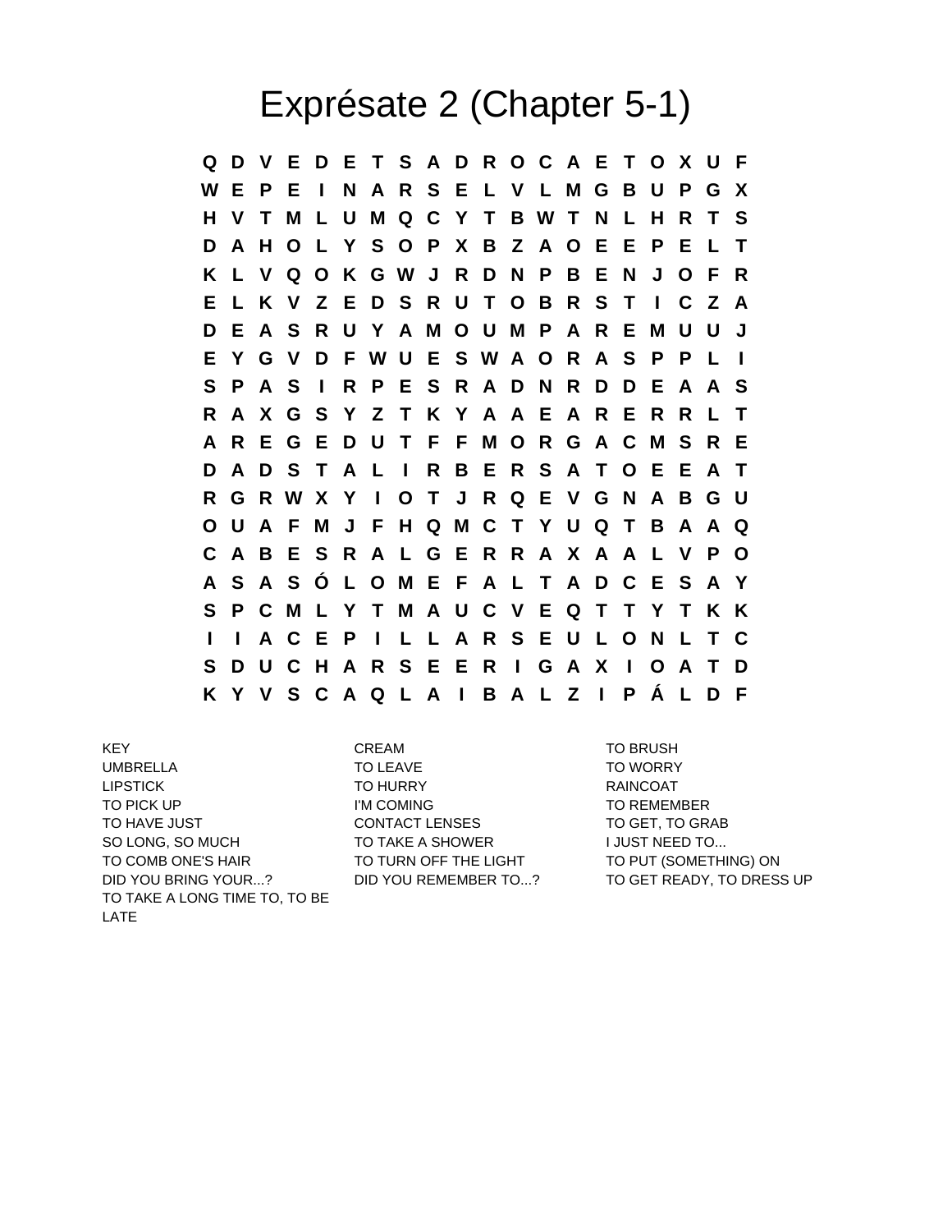## Exprésate 2 (Chapter 5-1)

**Q D V E D E T S A D R O C A E T O X U F W E P E I N A R S E L V L M G B U P G X H V T M L U M Q C Y T B W T N L H R T S D A H O L Y S O P X B Z A O E E P E L T K L V Q O K G W J R D N P B E N J O F R E L K V Z E D S R U T O B R S T I C Z A D E A S R U Y A M O U M P A R E M U U J E Y G V D F W U E S W A O R A S P P L I S P A S I R P E S R A D N R D D E A A S R A X G S Y Z T K Y A A E A R E R R L T A R E G E D U T F F M O R G A C M S R E D A D S T A L I R B E R S A T O E E A T R G R W X Y I O T J R Q E V G N A B G U O U A F M J F H Q M C T Y U Q T B A A Q C A B E S R A L G E R R A X A A L V P O A S A S Ó L O M E F A L T A D C E S A Y S P C M L Y T M A U C V E Q T T Y T K K I I A C E P I L L A R S E U L O N L T C S D U C H A R S E E R I G A X I O A T D K Y V S C A Q L A I B A L Z I P Á L D F**

KEY CREAM CREAM TO BRUSH UMBRELLA TO LEAVE TO LEAVE TO TO WORRY LIPSTICK TO HURRY TO HURRY RAINCOAT TO PICK UP TO REMEMBER I'M COMING TO REMEMBER TO HAVE JUST TO GET, TO GRABING CONTACT LENSES TO GET, TO GRABING TO GET, TO GRABING THE STATE OF A LOCAL THE SO LONG, SO MUCH TO TAKE A SHOWER TO TALL TO TAKE A SHOWER TO COMB ONE'S HAIR TO TURN OFF THE LIGHT TO PUT (SOMETHING) ON DID YOU BRING YOUR...? DID YOU REMEMBER TO...? TO GET READY, TO DRESS UP TO TAKE A LONG TIME TO, TO BE LATE